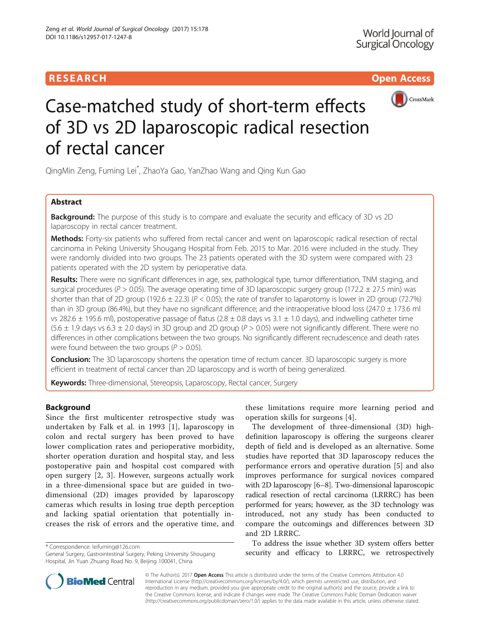# **RESEARCH CHILD CONTROL** CONTROL CONTROL CONTROL CONTROL CONTROL CONTROL CONTROL CONTROL CONTROL CONTROL CONTROL CONTROL CONTROL CONTROL CONTROL CONTROL CONTROL CONTROL CONTROL CONTROL CONTROL CONTROL CONTROL CONTROL CONTR



# Case-matched study of short-term effects of 3D vs 2D laparoscopic radical resection of rectal cancer

QingMin Zeng, Fuming Lei\* , ZhaoYa Gao, YanZhao Wang and Qing Kun Gao

# Abstract

**Background:** The purpose of this study is to compare and evaluate the security and efficacy of 3D vs 2D laparoscopy in rectal cancer treatment.

Methods: Forty-six patients who suffered from rectal cancer and went on laparoscopic radical resection of rectal carcinoma in Peking University Shougang Hospital from Feb. 2015 to Mar. 2016 were included in the study. They were randomly divided into two groups. The 23 patients operated with the 3D system were compared with 23 patients operated with the 2D system by perioperative data.

Results: There were no significant differences in age, sex, pathological type, tumor differentiation, TNM staging, and surgical procedures ( $P > 0.05$ ). The average operating time of 3D laparoscopic surgery group (172.2  $\pm$  27.5 min) was shorter than that of 2D group (192.6  $\pm$  22.3) ( $P < 0.05$ ); the rate of transfer to laparotomy is lower in 2D group (72.7%) than in 3D group (86.4%), but they have no significant difference; and the intraoperative blood loss (247.0  $\pm$  173.6 ml vs 282.6  $\pm$  195.6 ml), postoperative passage of flatus (2.8  $\pm$  0.8 days vs 3.1  $\pm$  1.0 days), and indwelling catheter time  $(5.6 \pm 1.9$  days vs  $6.3 \pm 2.0$  days) in 3D group and 2D group  $(P > 0.05)$  were not significantly different. There were no differences in other complications between the two groups. No significantly different recrudescence and death rates were found between the two groups ( $P > 0.05$ ).

**Conclusion:** The 3D laparoscopy shortens the operation time of rectum cancer. 3D laparoscopic surgery is more efficient in treatment of rectal cancer than 2D laparoscopy and is worth of being generalized.

Keywords: Three-dimensional, Stereopsis, Laparoscopy, Rectal cancer, Surgery

# Background

Since the first multicenter retrospective study was undertaken by Falk et al. in 1993 [[1\]](#page-3-0), laparoscopy in colon and rectal surgery has been proved to have lower complication rates and perioperative morbidity, shorter operation duration and hospital stay, and less postoperative pain and hospital cost compared with open surgery [[2, 3](#page-3-0)]. However, surgeons actually work in a three-dimensional space but are guided in twodimensional (2D) images provided by laparoscopy cameras which results in losing true depth perception and lacking spatial orientation that potentially increases the risk of errors and the operative time, and

these limitations require more learning period and operation skills for surgeons [[4\]](#page-3-0).

The development of three-dimensional (3D) highdefinition laparoscopy is offering the surgeons clearer depth of field and is developed as an alternative. Some studies have reported that 3D laparoscopy reduces the performance errors and operative duration [[5\]](#page-4-0) and also improves performance for surgical novices compared with 2D laparoscopy [\[6](#page-4-0)–[8](#page-4-0)]. Two-dimensional laparoscopic radical resection of rectal carcinoma (LRRRC) has been performed for years; however, as the 3D technology was introduced, not any study has been conducted to compare the outcomings and differences between 3D and 2D LRRRC.

To address the issue whether 3D system offers better security and the users the issue whether the system offers better \* To address the issue whether the system offers better \* Security and efficacy to LRRRC, we retrospectively



© The Author(s). 2017 **Open Access** This article is distributed under the terms of the Creative Commons Attribution 4.0 International License [\(http://creativecommons.org/licenses/by/4.0/](http://creativecommons.org/licenses/by/4.0/)), which permits unrestricted use, distribution, and reproduction in any medium, provided you give appropriate credit to the original author(s) and the source, provide a link to the Creative Commons license, and indicate if changes were made. The Creative Commons Public Domain Dedication waiver [\(http://creativecommons.org/publicdomain/zero/1.0/](http://creativecommons.org/publicdomain/zero/1.0/)) applies to the data made available in this article, unless otherwise stated.

General Surgery, Gastrointestinal Surgery, Peking University Shougang Hospital, Jin Yuan Zhuang Road No. 9, Beijing 100041, China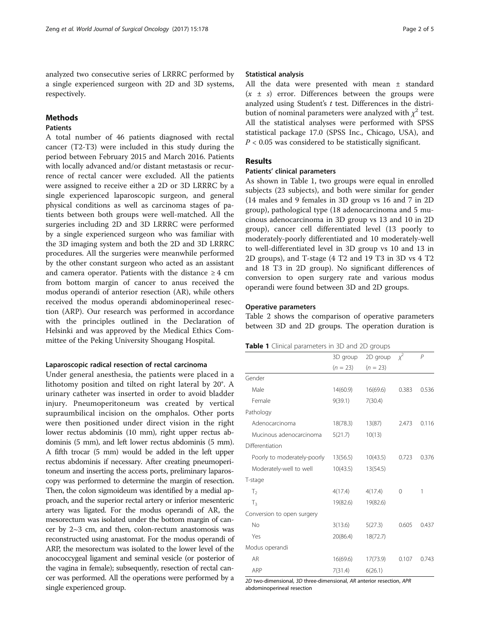analyzed two consecutive series of LRRRC performed by a single experienced surgeon with 2D and 3D systems, respectively.

## **Methods**

# Patients

A total number of 46 patients diagnosed with rectal cancer (T2-T3) were included in this study during the period between February 2015 and March 2016. Patients with locally advanced and/or distant metastasis or recurrence of rectal cancer were excluded. All the patients were assigned to receive either a 2D or 3D LRRRC by a single experienced laparoscopic surgeon, and general physical conditions as well as carcinoma stages of patients between both groups were well-matched. All the surgeries including 2D and 3D LRRRC were performed by a single experienced surgeon who was familiar with the 3D imaging system and both the 2D and 3D LRRRC procedures. All the surgeries were meanwhile performed by the other constant surgeon who acted as an assistant and camera operator. Patients with the distance  $\geq 4$  cm from bottom margin of cancer to anus received the modus operandi of anterior resection (AR), while others received the modus operandi abdominoperineal resection (ARP). Our research was performed in accordance with the principles outlined in the Declaration of Helsinki and was approved by the Medical Ethics Committee of the Peking University Shougang Hospital.

## Laparoscopic radical resection of rectal carcinoma

Under general anesthesia, the patients were placed in a lithotomy position and tilted on right lateral by 20°. A urinary catheter was inserted in order to avoid bladder injury. Pneumoperitoneum was created by vertical supraumbilical incision on the omphalos. Other ports were then positioned under direct vision in the right lower rectus abdominis (10 mm), right upper rectus abdominis (5 mm), and left lower rectus abdominis (5 mm). A fifth trocar (5 mm) would be added in the left upper rectus abdominis if necessary. After creating pneumoperitoneum and inserting the access ports, preliminary laparoscopy was performed to determine the margin of resection. Then, the colon sigmoideum was identified by a medial approach, and the superior rectal artery or inferior mesenteric artery was ligated. For the modus operandi of AR, the mesorectum was isolated under the bottom margin of cancer by  $2~3$  cm, and then, colon-rectum anastomosis was reconstructed using anastomat. For the modus operandi of ARP, the mesorectum was isolated to the lower level of the anococcygeal ligament and seminal vesicle (or posterior of the vagina in female); subsequently, resection of rectal cancer was performed. All the operations were performed by a single experienced group.

#### Statistical analysis

All the data were presented with mean ± standard  $(x \pm s)$  error. Differences between the groups were analyzed using Student's  $t$  test. Differences in the distribution of nominal parameters were analyzed with  $\chi^2$  test. All the statistical analyses were performed with SPSS statistical package 17.0 (SPSS Inc., Chicago, USA), and  $P < 0.05$  was considered to be statistically significant.

# Results

# Patients' clinical parameters

As shown in Table 1, two groups were equal in enrolled subjects (23 subjects), and both were similar for gender (14 males and 9 females in 3D group vs 16 and 7 in 2D group), pathological type (18 adenocarcinoma and 5 mucinous adenocarcinoma in 3D group vs 13 and 10 in 2D group), cancer cell differentiated level (13 poorly to moderately-poorly differentiated and 10 moderately-well to well-differentiated level in 3D group vs 10 and 13 in 2D groups), and T-stage (4 T2 and 19 T3 in 3D vs 4 T2 and 18 T3 in 2D group). No significant differences of conversion to open surgery rate and various modus operandi were found between 3D and 2D groups.

## Operative parameters

Table [2](#page-2-0) shows the comparison of operative parameters between 3D and 2D groups. The operation duration is

|  | Table 1 Clinical parameters in 3D and 2D groups |  |  |  |
|--|-------------------------------------------------|--|--|--|
|  |                                                 |  |  |  |

|                             | 3D group   | 2D group   | $x^2$    | P     |
|-----------------------------|------------|------------|----------|-------|
|                             | $(n = 23)$ | $(n = 23)$ |          |       |
| Gender                      |            |            |          |       |
| Male                        | 14(60.9)   | 16(69.6)   | 0.383    | 0.536 |
| Female                      | 9(39.1)    | 7(30.4)    |          |       |
| Pathology                   |            |            |          |       |
| Adenocarcinoma              | 18(78.3)   | 13(87)     | 2.473    | 0.116 |
| Mucinous adenocarcinoma     | 5(21.7)    | 10(13)     |          |       |
| Differentiation             |            |            |          |       |
| Poorly to moderately-poorly | 13(56.5)   | 10(43.5)   | 0.723    | 0.376 |
| Moderately-well to well     | 10(43.5)   | 13(54.5)   |          |       |
| T-stage                     |            |            |          |       |
| T <sub>2</sub>              | 4(17.4)    | 4(17.4)    | $\Omega$ | 1     |
| $T_3$                       | 19(82.6)   | 19(82.6)   |          |       |
| Conversion to open surgery  |            |            |          |       |
| No                          | 3(13.6)    | 5(27.3)    | 0.605    | 0.437 |
| Yes                         | 20(86.4)   | 18(72.7)   |          |       |
| Modus operandi              |            |            |          |       |
| <b>AR</b>                   | 16(69.6)   | 17(73.9)   | 0.107    | 0.743 |
| ARP                         | 7(31.4)    | 6(26.1)    |          |       |

2D two-dimensional, 3D three-dimensional, AR anterior resection, APR abdominoperineal resection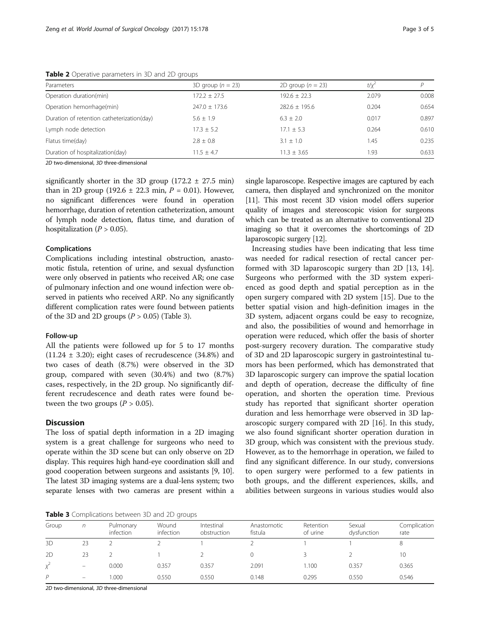<span id="page-2-0"></span>Table 2 Operative parameters in 3D and 2D groups

| Parameters                                 | 3D group $(n = 23)$ | 2D group $(n = 23)$ | t/x   | D     |
|--------------------------------------------|---------------------|---------------------|-------|-------|
| Operation duration(min)                    | $172.2 + 27.5$      | $192.6 + 22.3$      | 2.079 | 0.008 |
| Operation hemorrhage(min)                  | $747.0 + 173.6$     | $282.6 + 195.6$     | 0.204 | 0.654 |
| Duration of retention catheterization(day) | $5.6 \pm 1.9$       | $6.3 + 2.0$         | 0.017 | 0.897 |
| Lymph node detection                       | $17.3 + 5.2$        | $17.1 \pm 5.3$      | 0.264 | 0.610 |
| Flatus time(day)                           | $2.8 \pm 0.8$       | $3.1 \pm 1.0$       | 1.45  | 0.235 |
| Duration of hospitalization(day)           | $11.5 + 4.7$        | $11.3 \pm 3.65$     | 1.93  | 0.633 |

2D two-dimensional, 3D three-dimensional

significantly shorter in the 3D group (172.2  $\pm$  27.5 min) than in 2D group (192.6  $\pm$  22.3 min,  $P = 0.01$ ). However, no significant differences were found in operation hemorrhage, duration of retention catheterization, amount of lymph node detection, flatus time, and duration of hospitalization ( $P > 0.05$ ).

## Complications

Complications including intestinal obstruction, anastomotic fistula, retention of urine, and sexual dysfunction were only observed in patients who received AR; one case of pulmonary infection and one wound infection were observed in patients who received ARP. No any significantly different complication rates were found between patients of the 3D and 2D groups  $(P > 0.05)$  (Table 3).

#### Follow-up

All the patients were followed up for 5 to 17 months  $(11.24 \pm 3.20)$ ; eight cases of recrudescence  $(34.8\%)$  and two cases of death (8.7%) were observed in the 3D group, compared with seven (30.4%) and two (8.7%) cases, respectively, in the 2D group. No significantly different recrudescence and death rates were found between the two groups ( $P > 0.05$ ).

# **Discussion**

The loss of spatial depth information in a 2D imaging system is a great challenge for surgeons who need to operate within the 3D scene but can only observe on 2D display. This requires high hand-eye coordination skill and good cooperation between surgeons and assistants [[9](#page-4-0), [10](#page-4-0)]. The latest 3D imaging systems are a dual-lens system; two separate lenses with two cameras are present within a

Table 3 Complications between 3D and 2D groups

single laparoscope. Respective images are captured by each camera, then displayed and synchronized on the monitor [[11](#page-4-0)]. This most recent 3D vision model offers superior quality of images and stereoscopic vision for surgeons which can be treated as an alternative to conventional 2D imaging so that it overcomes the shortcomings of 2D laparoscopic surgery [\[12](#page-4-0)].

Increasing studies have been indicating that less time was needed for radical resection of rectal cancer performed with 3D laparoscopic surgery than 2D [\[13](#page-4-0), [14](#page-4-0)]. Surgeons who performed with the 3D system experienced as good depth and spatial perception as in the open surgery compared with 2D system [[15\]](#page-4-0). Due to the better spatial vision and high-definition images in the 3D system, adjacent organs could be easy to recognize, and also, the possibilities of wound and hemorrhage in operation were reduced, which offer the basis of shorter post-surgery recovery duration. The comparative study of 3D and 2D laparoscopic surgery in gastrointestinal tumors has been performed, which has demonstrated that 3D laparoscopic surgery can improve the spatial location and depth of operation, decrease the difficulty of fine operation, and shorten the operation time. Previous study has reported that significant shorter operation duration and less hemorrhage were observed in 3D laparoscopic surgery compared with 2D [\[16\]](#page-4-0). In this study, we also found significant shorter operation duration in 3D group, which was consistent with the previous study. However, as to the hemorrhage in operation, we failed to find any significant difference. In our study, conversions to open surgery were performed to a few patients in both groups, and the different experiences, skills, and abilities between surgeons in various studies would also

| Group | n                        | Pulmonary<br>infection | Wound<br>infection | Intestinal<br>obstruction | Anastomotic<br>fistula | Retention<br>of urine | Sexual<br>dysfunction | Complication<br>rate |
|-------|--------------------------|------------------------|--------------------|---------------------------|------------------------|-----------------------|-----------------------|----------------------|
| 3D    | 23                       |                        |                    |                           |                        |                       |                       | 8                    |
| 2D    | 23                       |                        |                    |                           |                        |                       |                       | 10                   |
|       | $\equiv$                 | 0.000                  | 0.357              | 0.357                     | 2.091                  | .100                  | 0.357                 | 0.365                |
| P     | $\overline{\phantom{m}}$ | 000.                   | 0.550              | 0.550                     | 0.148                  | 0.295                 | 0.550                 | 0.546                |

2D two-dimensional, 3D three-dimensional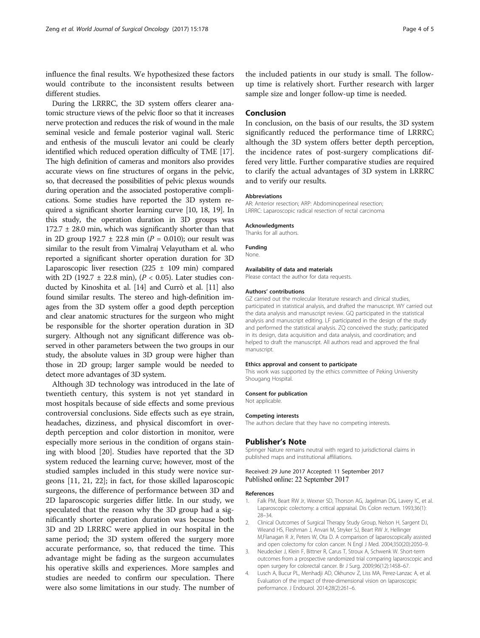<span id="page-3-0"></span>influence the final results. We hypothesized these factors would contribute to the inconsistent results between different studies.

During the LRRRC, the 3D system offers clearer anatomic structure views of the pelvic floor so that it increases nerve protection and reduces the risk of wound in the male seminal vesicle and female posterior vaginal wall. Steric and enthesis of the musculi levator ani could be clearly identified which reduced operation difficulty of TME [\[17](#page-4-0)]. The high definition of cameras and monitors also provides accurate views on fine structures of organs in the pelvic, so, that decreased the possibilities of pelvic plexus wounds during operation and the associated postoperative complications. Some studies have reported the 3D system required a significant shorter learning curve [[10](#page-4-0), [18](#page-4-0), [19](#page-4-0)]. In this study, the operation duration in 3D groups was  $172.7 \pm 28.0$  min, which was significantly shorter than that in 2D group 192.7  $\pm$  22.8 min (P = 0.010); our result was similar to the result from Vimalraj Velayutham et al. who reported a significant shorter operation duration for 3D Laparoscopic liver resection  $(225 \pm 109 \text{ min})$  compared with 2D (192.7  $\pm$  22.8 min), (P < 0.05). Later studies conducted by Kinoshita et al. [\[14\]](#page-4-0) and Currò et al. [[11](#page-4-0)] also found similar results. The stereo and high-definition images from the 3D system offer a good depth perception and clear anatomic structures for the surgeon who might be responsible for the shorter operation duration in 3D surgery. Although not any significant difference was observed in other parameters between the two groups in our study, the absolute values in 3D group were higher than those in 2D group; larger sample would be needed to detect more advantages of 3D system.

Although 3D technology was introduced in the late of twentieth century, this system is not yet standard in most hospitals because of side effects and some previous controversial conclusions. Side effects such as eye strain, headaches, dizziness, and physical discomfort in overdepth perception and color distortion in monitor, were especially more serious in the condition of organs staining with blood [\[20](#page-4-0)]. Studies have reported that the 3D system reduced the learning curve; however, most of the studied samples included in this study were novice surgeons [[11, 21](#page-4-0), [22](#page-4-0)]; in fact, for those skilled laparoscopic surgeons, the difference of performance between 3D and 2D laparoscopic surgeries differ little. In our study, we speculated that the reason why the 3D group had a significantly shorter operation duration was because both 3D and 2D LRRRC were applied in our hospital in the same period; the 3D system offered the surgery more accurate performance, so, that reduced the time. This advantage might be fading as the surgeon accumulates his operative skills and experiences. More samples and studies are needed to confirm our speculation. There were also some limitations in our study. The number of

the included patients in our study is small. The followup time is relatively short. Further research with larger sample size and longer follow-up time is needed.

## Conclusion

In conclusion, on the basis of our results, the 3D system significantly reduced the performance time of LRRRC; although the 3D system offers better depth perception, the incidence rates of post-surgery complications differed very little. Further comparative studies are required to clarify the actual advantages of 3D system in LRRRC and to verify our results.

#### **Abbreviations**

AR: Anterior resection; ARP: Abdominoperineal resection; LRRRC: Laparoscopic radical resection of rectal carcinoma

## Acknowledgments

Thanks for all authors.

#### Funding

None.

#### Availability of data and materials

Please contact the author for data requests.

#### Authors' contributions

GZ carried out the molecular literature research and clinical studies, participated in statistical analysis, and drafted the manuscript. WY carried out the data analysis and manuscript review. GQ participated in the statistical analysis and manuscript editing. LF participated in the design of the study and performed the statistical analysis. ZQ conceived the study; participated in its design, data acquisition and data analysis, and coordination; and helped to draft the manuscript. All authors read and approved the final manuscript.

#### Ethics approval and consent to participate

This work was supported by the ethics committee of Peking University Shougang Hospital.

#### Consent for publication

Not applicable.

#### Competing interests

The authors declare that they have no competing interests.

#### Publisher's Note

Springer Nature remains neutral with regard to jurisdictional claims in published maps and institutional affiliations.

#### Received: 29 June 2017 Accepted: 11 September 2017 Published online: 22 September 2017

#### References

- Falk PM, Beart RW Jr, Wexner SD, Thorson AG, Jagelman DG, Lavery IC, et al. Laparoscopic colectomy: a critical appraisal. Dis Colon rectum. 1993;36(1): 28–34.
- 2. Clinical Outcomes of Surgical Therapy Study Group, Nelson H, Sargent DJ, Wieand HS, Fleshman J, Anvari M, Stryker SJ, Beart RW Jr, Hellinger M,Flanagan R Jr, Peters W, Ota D. A comparison of laparoscopically assisted and open colectomy for colon cancer. N Engl J Med. 2004;350(20):2050–9.
- 3. Neudecker J, Klein F, Bittner R, Carus T, Stroux A, Schwenk W. Short-term outcomes from a prospective randomized trial comparing laparoscopic and open surgery for colorectal cancer. Br J Surg. 2009;96(12):1458–67.
- 4. Lusch A, Bucur PL, Menhadji AD, Okhunov Z, Liss MA, Perez-Lanzac A, et al. Evaluation of the impact of three-dimensional vision on laparoscopic performance. J Endourol. 2014;28(2):261–6.